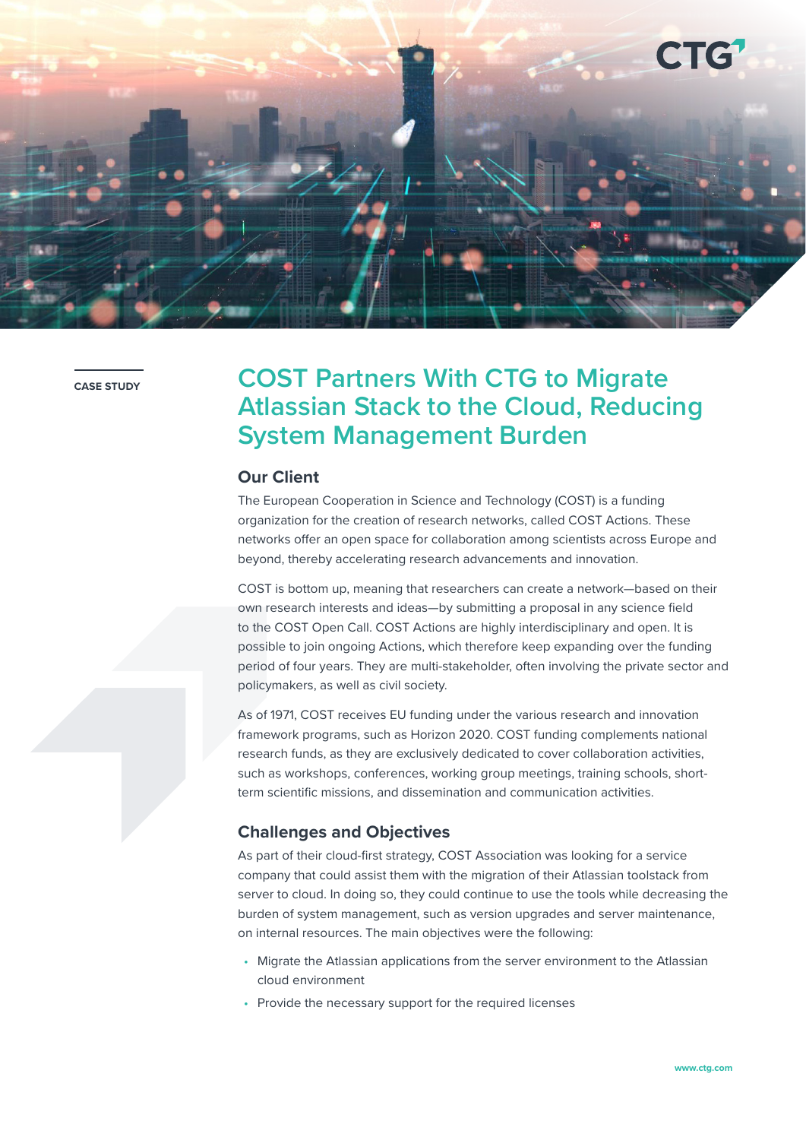

**CASE STUDY**

# **COST Partners With CTG to Migrate Atlassian Stack to the Cloud, Reducing System Management Burden**

### **Our Client**

The European Cooperation in Science and Technology (COST) is a funding organization for the creation of research networks, called COST Actions. These networks offer an open space for collaboration among scientists across Europe and beyond, thereby accelerating research advancements and innovation.

COST is bottom up, meaning that researchers can create a network—based on their own research interests and ideas—by submitting a proposal in any science field to the COST Open Call. COST Actions are highly interdisciplinary and open. It is possible to join ongoing Actions, which therefore keep expanding over the funding period of four years. They are multi-stakeholder, often involving the private sector and policymakers, as well as civil society.

As of 1971, COST receives EU funding under the various research and innovation framework programs, such as Horizon 2020. COST funding complements national research funds, as they are exclusively dedicated to cover collaboration activities, such as workshops, conferences, working group meetings, training schools, shortterm scientific missions, and dissemination and communication activities.

## **Challenges and Objectives**

As part of their cloud-first strategy, COST Association was looking for a service company that could assist them with the migration of their Atlassian toolstack from server to cloud. In doing so, they could continue to use the tools while decreasing the burden of system management, such as version upgrades and server maintenance, on internal resources. The main objectives were the following:

- Migrate the Atlassian applications from the server environment to the Atlassian cloud environment
- Provide the necessary support for the required licenses